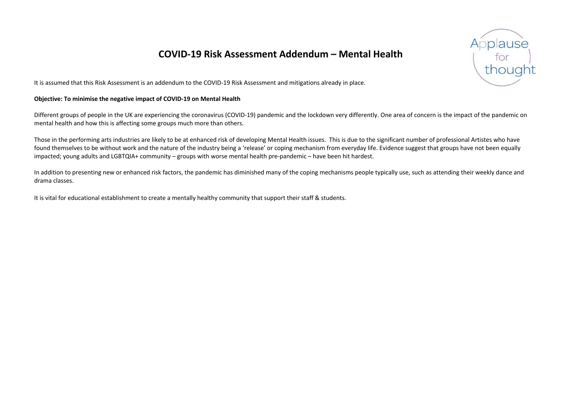## **COVID-19 Risk Assessment Addendum – Mental Health**

It is assumed that this Risk Assessment is an addendum to the COVID-19 Risk Assessment and mitigations already in place.

## **Objective: To minimise the negative impact of COVID-19 on Mental Health**

Different groups of people in the UK are experiencing the coronavirus (COVID-19) pandemic and the lockdown very differently. One area of concern is the impact of the pandemic on mental health and how this is affecting some groups much more than others.

Those in the performing arts industries are likely to be at enhanced risk of developing Mental Health issues. This is due to the significant number of professional Artistes who have found themselves to be without work and the nature of the industry being a 'release' or coping mechanism from everyday life. Evidence suggest that groups have not been equally impacted; young adults and LGBTQIA+ community – groups with worse mental health pre-pandemic – have been hit hardest.

In addition to presenting new or enhanced risk factors, the pandemic has diminished many of the coping mechanisms people typically use, such as attending their weekly dance and drama classes.

It is vital for educational establishment to create a mentally healthy community that support their staff & students.

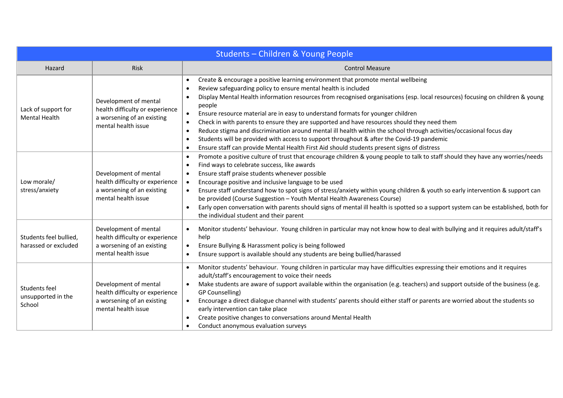| Students - Children & Young People             |                                                                                                               |                                                                                                                                                                                                                                                                                                                                                                                                                                                                                                                                                                                                                                                                                                                                                                                                                                                        |  |  |  |
|------------------------------------------------|---------------------------------------------------------------------------------------------------------------|--------------------------------------------------------------------------------------------------------------------------------------------------------------------------------------------------------------------------------------------------------------------------------------------------------------------------------------------------------------------------------------------------------------------------------------------------------------------------------------------------------------------------------------------------------------------------------------------------------------------------------------------------------------------------------------------------------------------------------------------------------------------------------------------------------------------------------------------------------|--|--|--|
| Hazard                                         | Risk                                                                                                          | <b>Control Measure</b>                                                                                                                                                                                                                                                                                                                                                                                                                                                                                                                                                                                                                                                                                                                                                                                                                                 |  |  |  |
| Lack of support for<br><b>Mental Health</b>    | Development of mental<br>health difficulty or experience<br>a worsening of an existing<br>mental health issue | Create & encourage a positive learning environment that promote mental wellbeing<br>Review safeguarding policy to ensure mental health is included<br>Display Mental Health information resources from recognised organisations (esp. local resources) focusing on children & young<br>people<br>Ensure resource material are in easy to understand formats for younger children<br>$\bullet$<br>Check in with parents to ensure they are supported and have resources should they need them<br>$\bullet$<br>Reduce stigma and discrimination around mental ill health within the school through activities/occasional focus day<br>$\bullet$<br>Students will be provided with access to support throughout & after the Covid-19 pandemic<br>$\epsilon$<br>Ensure staff can provide Mental Health First Aid should students present signs of distress |  |  |  |
| Low morale/<br>stress/anxiety                  | Development of mental<br>health difficulty or experience<br>a worsening of an existing<br>mental health issue | Promote a positive culture of trust that encourage children & young people to talk to staff should they have any worries/needs<br>Find ways to celebrate success, like awards<br>Ensure staff praise students whenever possible<br>Encourage positive and inclusive language to be used<br>Ensure staff understand how to spot signs of stress/anxiety within young children & youth so early intervention & support can<br>be provided (Course Suggestion - Youth Mental Health Awareness Course)<br>Early open conversation with parents should signs of mental ill health is spotted so a support system can be established, both for<br>$\bullet$<br>the individual student and their parent                                                                                                                                                       |  |  |  |
| Students feel bullied,<br>harassed or excluded | Development of mental<br>health difficulty or experience<br>a worsening of an existing<br>mental health issue | Monitor students' behaviour. Young children in particular may not know how to deal with bullying and it requires adult/staff's<br>help<br>Ensure Bullying & Harassment policy is being followed<br>$\bullet$<br>Ensure support is available should any students are being bullied/harassed                                                                                                                                                                                                                                                                                                                                                                                                                                                                                                                                                             |  |  |  |
| Students feel<br>unsupported in the<br>School  | Development of mental<br>health difficulty or experience<br>a worsening of an existing<br>mental health issue | Monitor students' behaviour. Young children in particular may have difficulties expressing their emotions and it requires<br>adult/staff's encouragement to voice their needs<br>Make students are aware of support available within the organisation (e.g. teachers) and support outside of the business (e.g.<br>GP Counselling)<br>Encourage a direct dialogue channel with students' parents should either staff or parents are worried about the students so<br>early intervention can take place<br>Create positive changes to conversations around Mental Health<br>Conduct anonymous evaluation surveys                                                                                                                                                                                                                                        |  |  |  |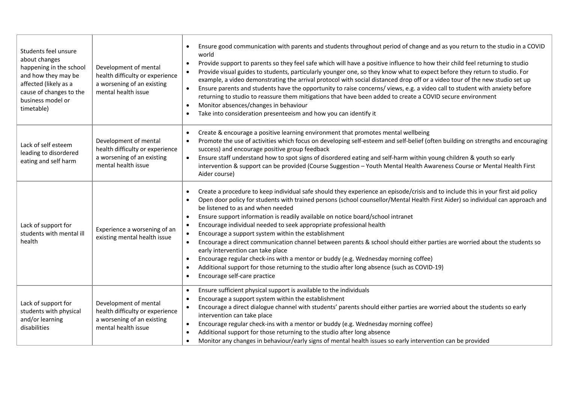| Students feel unsure<br>about changes<br>happening in the school<br>and how they may be<br>affected (likely as a<br>cause of changes to the<br>business model or<br>timetable) | Development of mental<br>health difficulty or experience<br>a worsening of an existing<br>mental health issue | Ensure good communication with parents and students throughout period of change and as you return to the studio in a COVID<br>world<br>Provide support to parents so they feel safe which will have a positive influence to how their child feel returning to studio<br>$\bullet$<br>Provide visual guides to students, particularly younger one, so they know what to expect before they return to studio. For<br>$\bullet$<br>example, a video demonstrating the arrival protocol with social distanced drop off or a video tour of the new studio set up<br>Ensure parents and students have the opportunity to raise concerns/views, e.g. a video call to student with anxiety before<br>$\bullet$<br>returning to studio to reassure them mitigations that have been added to create a COVID secure environment<br>Monitor absences/changes in behaviour<br>$\bullet$<br>Take into consideration presenteeism and how you can identify it                                   |  |
|--------------------------------------------------------------------------------------------------------------------------------------------------------------------------------|---------------------------------------------------------------------------------------------------------------|----------------------------------------------------------------------------------------------------------------------------------------------------------------------------------------------------------------------------------------------------------------------------------------------------------------------------------------------------------------------------------------------------------------------------------------------------------------------------------------------------------------------------------------------------------------------------------------------------------------------------------------------------------------------------------------------------------------------------------------------------------------------------------------------------------------------------------------------------------------------------------------------------------------------------------------------------------------------------------|--|
| Lack of self esteem<br>leading to disordered<br>eating and self harm                                                                                                           | Development of mental<br>health difficulty or experience<br>a worsening of an existing<br>mental health issue | Create & encourage a positive learning environment that promotes mental wellbeing<br>Promote the use of activities which focus on developing self-esteem and self-belief (often building on strengths and encouraging<br>$\bullet$<br>success) and encourage positive group feedback<br>Ensure staff understand how to spot signs of disordered eating and self-harm within young children & youth so early<br>$\bullet$<br>intervention & support can be provided (Course Suggestion - Youth Mental Health Awareness Course or Mental Health First<br>Aider course)                                                                                                                                                                                                                                                                                                                                                                                                             |  |
| Lack of support for<br>students with mental ill<br>health                                                                                                                      | Experience a worsening of an<br>existing mental health issue                                                  | Create a procedure to keep individual safe should they experience an episode/crisis and to include this in your first aid policy<br>Open door policy for students with trained persons (school counsellor/Mental Health First Aider) so individual can approach and<br>be listened to as and when needed<br>Ensure support information is readily available on notice board/school intranet<br>$\bullet$<br>Encourage individual needed to seek appropriate professional health<br>Encourage a support system within the establishment<br>$\bullet$<br>Encourage a direct communication channel between parents & school should either parties are worried about the students so<br>$\bullet$<br>early intervention can take place<br>Encourage regular check-ins with a mentor or buddy (e.g. Wednesday morning coffee)<br>$\bullet$<br>Additional support for those returning to the studio after long absence (such as COVID-19)<br>Encourage self-care practice<br>$\bullet$ |  |
| Lack of support for<br>students with physical<br>and/or learning<br>disabilities                                                                                               | Development of mental<br>health difficulty or experience<br>a worsening of an existing<br>mental health issue | Ensure sufficient physical support is available to the individuals<br>Encourage a support system within the establishment<br>Encourage a direct dialogue channel with students' parents should either parties are worried about the students so early<br>intervention can take place<br>Encourage regular check-ins with a mentor or buddy (e.g. Wednesday morning coffee)<br>$\bullet$<br>Additional support for those returning to the studio after long absence<br>Monitor any changes in behaviour/early signs of mental health issues so early intervention can be provided                                                                                                                                                                                                                                                                                                                                                                                                 |  |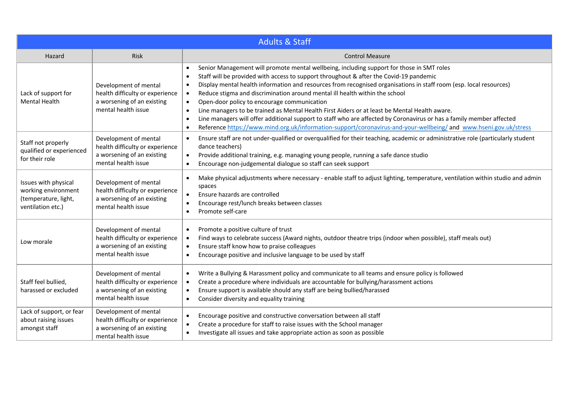| <b>Adults &amp; Staff</b>                                                                |                                                                                                               |                                                                                                                                                                                                                                                                                                                                                                                                                                                                                                                                                                                                                                                                                                                                                                                                                                                                     |  |  |  |
|------------------------------------------------------------------------------------------|---------------------------------------------------------------------------------------------------------------|---------------------------------------------------------------------------------------------------------------------------------------------------------------------------------------------------------------------------------------------------------------------------------------------------------------------------------------------------------------------------------------------------------------------------------------------------------------------------------------------------------------------------------------------------------------------------------------------------------------------------------------------------------------------------------------------------------------------------------------------------------------------------------------------------------------------------------------------------------------------|--|--|--|
| Hazard                                                                                   | Risk                                                                                                          | <b>Control Measure</b>                                                                                                                                                                                                                                                                                                                                                                                                                                                                                                                                                                                                                                                                                                                                                                                                                                              |  |  |  |
| Lack of support for<br><b>Mental Health</b>                                              | Development of mental<br>health difficulty or experience<br>a worsening of an existing<br>mental health issue | Senior Management will promote mental wellbeing, including support for those in SMT roles<br>Staff will be provided with access to support throughout & after the Covid-19 pandemic<br>$\bullet$<br>Display mental health information and resources from recognised organisations in staff room (esp. local resources)<br>$\bullet$<br>Reduce stigma and discrimination around mental ill health within the school<br>$\bullet$<br>Open-door policy to encourage communication<br>$\bullet$<br>Line managers to be trained as Mental Health First Aiders or at least be Mental Health aware.<br>Line managers will offer additional support to staff who are affected by Coronavirus or has a family member affected<br>$\bullet$<br>Reference https://www.mind.org.uk/information-support/coronavirus-and-your-wellbeing/ and www.hseni.gov.uk/stress<br>$\bullet$ |  |  |  |
| Staff not properly<br>qualified or experienced<br>for their role                         | Development of mental<br>health difficulty or experience<br>a worsening of an existing<br>mental health issue | Ensure staff are not under-qualified or overqualified for their teaching, academic or administrative role (particularly student<br>$\bullet$<br>dance teachers)<br>Provide additional training, e.g. managing young people, running a safe dance studio<br>$\bullet$<br>Encourage non-judgemental dialogue so staff can seek support<br>$\bullet$                                                                                                                                                                                                                                                                                                                                                                                                                                                                                                                   |  |  |  |
| Issues with physical<br>working environment<br>(temperature, light,<br>ventilation etc.) | Development of mental<br>health difficulty or experience<br>a worsening of an existing<br>mental health issue | Make physical adjustments where necessary - enable staff to adjust lighting, temperature, ventilation within studio and admin<br>$\bullet$<br>spaces<br>Ensure hazards are controlled<br>$\bullet$<br>Encourage rest/lunch breaks between classes<br>Promote self-care<br>$\bullet$                                                                                                                                                                                                                                                                                                                                                                                                                                                                                                                                                                                 |  |  |  |
| Low morale                                                                               | Development of mental<br>health difficulty or experience<br>a worsening of an existing<br>mental health issue | Promote a positive culture of trust<br>$\bullet$<br>Find ways to celebrate success (Award nights, outdoor theatre trips (indoor when possible), staff meals out)<br>$\bullet$<br>Ensure staff know how to praise colleagues<br>$\bullet$<br>Encourage positive and inclusive language to be used by staff<br>$\bullet$                                                                                                                                                                                                                                                                                                                                                                                                                                                                                                                                              |  |  |  |
| Staff feel bullied,<br>harassed or excluded                                              | Development of mental<br>health difficulty or experience<br>a worsening of an existing<br>mental health issue | Write a Bullying & Harassment policy and communicate to all teams and ensure policy is followed<br>$\bullet$<br>Create a procedure where individuals are accountable for bullying/harassment actions<br>$\bullet$<br>Ensure support is available should any staff are being bullied/harassed<br>$\bullet$<br>Consider diversity and equality training<br>$\bullet$                                                                                                                                                                                                                                                                                                                                                                                                                                                                                                  |  |  |  |
| Lack of support, or fear<br>about raising issues<br>amongst staff                        | Development of mental<br>health difficulty or experience<br>a worsening of an existing<br>mental health issue | Encourage positive and constructive conversation between all staff<br>Create a procedure for staff to raise issues with the School manager<br>$\bullet$<br>Investigate all issues and take appropriate action as soon as possible<br>$\bullet$                                                                                                                                                                                                                                                                                                                                                                                                                                                                                                                                                                                                                      |  |  |  |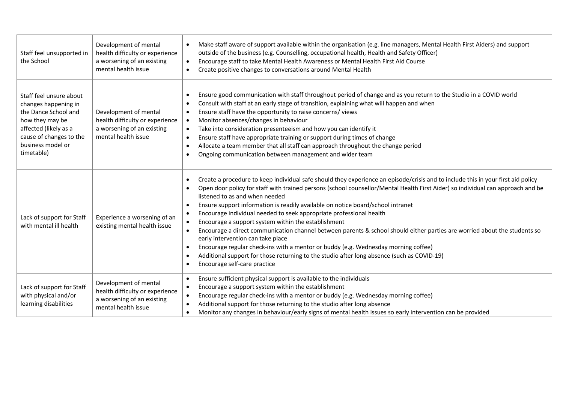| Staff feel unsupported in<br>the School                                                                                                                                           | Development of mental<br>health difficulty or experience<br>a worsening of an existing<br>mental health issue | Make staff aware of support available within the organisation (e.g. line managers, Mental Health First Aiders) and support<br>outside of the business (e.g. Counselling, occupational health, Health and Safety Officer)<br>Encourage staff to take Mental Health Awareness or Mental Health First Aid Course<br>Create positive changes to conversations around Mental Health                                                                                                                                                                                                                                                                                                                                                                                                                                                                                                                                            |  |
|-----------------------------------------------------------------------------------------------------------------------------------------------------------------------------------|---------------------------------------------------------------------------------------------------------------|---------------------------------------------------------------------------------------------------------------------------------------------------------------------------------------------------------------------------------------------------------------------------------------------------------------------------------------------------------------------------------------------------------------------------------------------------------------------------------------------------------------------------------------------------------------------------------------------------------------------------------------------------------------------------------------------------------------------------------------------------------------------------------------------------------------------------------------------------------------------------------------------------------------------------|--|
| Staff feel unsure about<br>changes happening in<br>the Dance School and<br>how they may be<br>affected (likely as a<br>cause of changes to the<br>business model or<br>timetable) | Development of mental<br>health difficulty or experience<br>a worsening of an existing<br>mental health issue | Ensure good communication with staff throughout period of change and as you return to the Studio in a COVID world<br>Consult with staff at an early stage of transition, explaining what will happen and when<br>Ensure staff have the opportunity to raise concerns/views<br>Monitor absences/changes in behaviour<br>$\bullet$<br>Take into consideration presenteeism and how you can identify it<br>Ensure staff have appropriate training or support during times of change<br>Allocate a team member that all staff can approach throughout the change period<br>Ongoing communication between management and wider team                                                                                                                                                                                                                                                                                            |  |
| Lack of support for Staff<br>with mental ill health                                                                                                                               | Experience a worsening of an<br>existing mental health issue                                                  | Create a procedure to keep individual safe should they experience an episode/crisis and to include this in your first aid policy<br>$\bullet$<br>Open door policy for staff with trained persons (school counsellor/Mental Health First Aider) so individual can approach and be<br>listened to as and when needed<br>Ensure support information is readily available on notice board/school intranet<br>Encourage individual needed to seek appropriate professional health<br>Encourage a support system within the establishment<br>Encourage a direct communication channel between parents & school should either parties are worried about the students so<br>early intervention can take place<br>Encourage regular check-ins with a mentor or buddy (e.g. Wednesday morning coffee)<br>Additional support for those returning to the studio after long absence (such as COVID-19)<br>Encourage self-care practice |  |
| Lack of support for Staff<br>with physical and/or<br>learning disabilities                                                                                                        | Development of mental<br>health difficulty or experience<br>a worsening of an existing<br>mental health issue | Ensure sufficient physical support is available to the individuals<br>Encourage a support system within the establishment<br>Encourage regular check-ins with a mentor or buddy (e.g. Wednesday morning coffee)<br>Additional support for those returning to the studio after long absence<br>Monitor any changes in behaviour/early signs of mental health issues so early intervention can be provided<br>$\bullet$                                                                                                                                                                                                                                                                                                                                                                                                                                                                                                     |  |